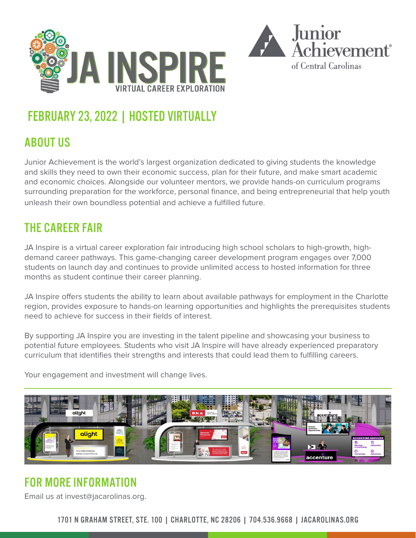

## FEBRUARY 23, 2022 | HOSTED VIRTUALLY

### ABOUT US

Junior Achievement is the world's largest organization dedicated to giving students the knowledge and skills they need to own their economic success, plan for their future, and make smart academic and economic choices. Alongside our volunteer mentors, we provide hands-on curriculum programs surrounding preparation for the workforce, personal finance, and being entrepreneurial that help youth unleash their own boundless potential and achieve a fulfilled future.

#### THE CAREER FAIR

JA Inspire is a virtual career exploration fair introducing high school scholars to high-growth, highdemand career pathways. This game-changing career development program engages over 7,000 students on launch day and continues to provide unlimited access to hosted information for three months as student continue their career planning.

JA Inspire offers students the ability to learn about available pathways for employment in the Charlotte region, provides exposure to hands-on learning opportunities and highlights the prerequisites students need to achieve for success in their fields of interest.

By supporting JA Inspire you are investing in the talent pipeline and showcasing your business to potential future employees. Students who visit JA Inspire will have already experienced preparatory curriculum that identifies their strengths and interests that could lead them to fulfilling careers.

Your engagement and investment will change lives.



#### FOR MORE INFORMATION

Email us at invest@jacarolinas.org.

1701 N GRAHAM STREET, STE. 100 | CHARLOTTE, NC 28206 | 704.536.9668 | JACAROLINAS.ORG